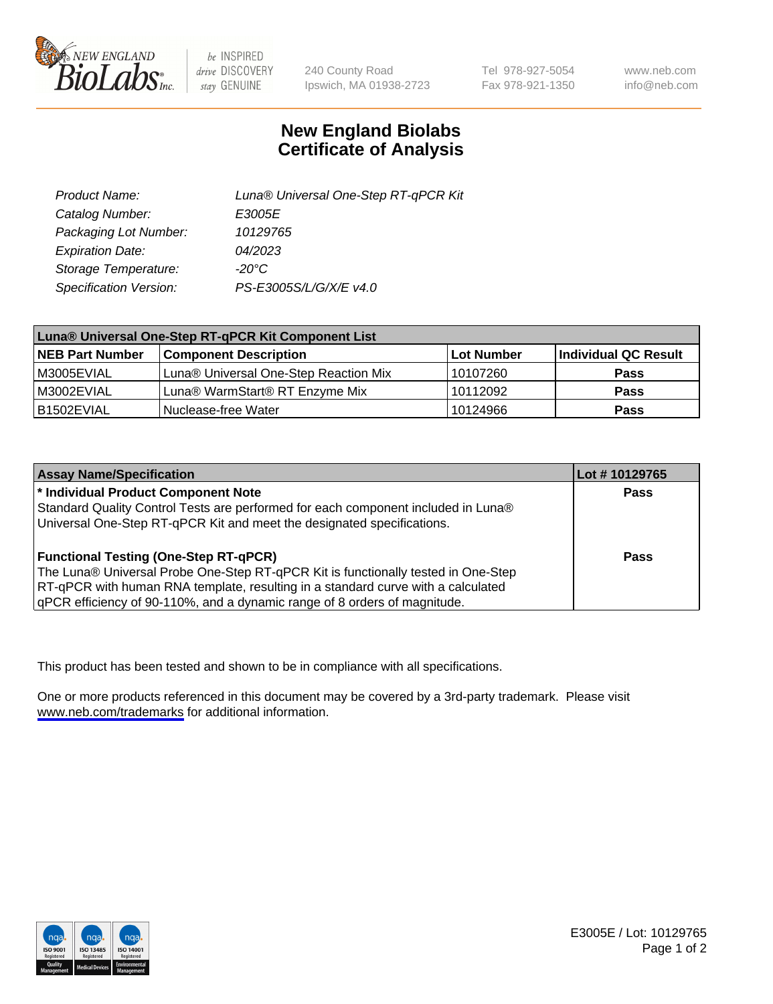

be INSPIRED drive DISCOVERY stay GENUINE

240 County Road Ipswich, MA 01938-2723 Tel 978-927-5054 Fax 978-921-1350

www.neb.com info@neb.com

## **New England Biolabs Certificate of Analysis**

| Product Name:           | Luna® Universal One-Step RT-qPCR Kit |  |
|-------------------------|--------------------------------------|--|
| Catalog Number:         | E3005E                               |  |
| Packaging Lot Number:   | 10129765                             |  |
| <b>Expiration Date:</b> | 04/2023                              |  |
| Storage Temperature:    | $-20^{\circ}$ C                      |  |
| Specification Version:  | PS-E3005S/L/G/X/E v4.0               |  |

| Luna® Universal One-Step RT-qPCR Kit Component List |                                       |            |                      |  |
|-----------------------------------------------------|---------------------------------------|------------|----------------------|--|
| <b>NEB Part Number</b>                              | <b>Component Description</b>          | Lot Number | Individual QC Result |  |
| M3005EVIAL                                          | Luna® Universal One-Step Reaction Mix | 10107260   | <b>Pass</b>          |  |
| M3002EVIAL                                          | Luna® WarmStart® RT Enzyme Mix        | 10112092   | <b>Pass</b>          |  |
| B1502EVIAL                                          | Nuclease-free Water                   | 10124966   | <b>Pass</b>          |  |

| <b>Assay Name/Specification</b>                                                   | Lot #10129765 |
|-----------------------------------------------------------------------------------|---------------|
| * Individual Product Component Note                                               | Pass          |
| Standard Quality Control Tests are performed for each component included in Luna® |               |
| Universal One-Step RT-qPCR Kit and meet the designated specifications.            |               |
| <b>Functional Testing (One-Step RT-qPCR)</b>                                      | Pass          |
| The Luna® Universal Probe One-Step RT-qPCR Kit is functionally tested in One-Step |               |
| RT-qPCR with human RNA template, resulting in a standard curve with a calculated  |               |
| gPCR efficiency of 90-110%, and a dynamic range of 8 orders of magnitude.         |               |

This product has been tested and shown to be in compliance with all specifications.

One or more products referenced in this document may be covered by a 3rd-party trademark. Please visit <www.neb.com/trademarks>for additional information.